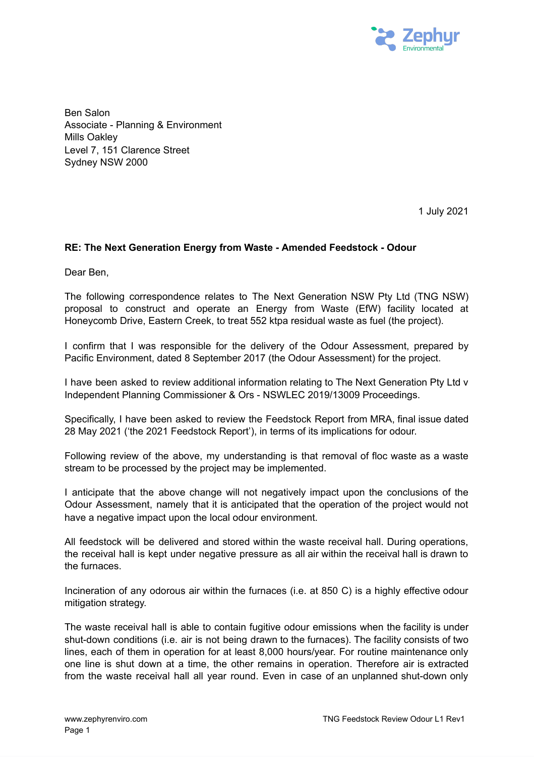

Ben Salon Associate - Planning & Environment Mills Oakley Level 7, 151 Clarence Street Sydney NSW 2000

1 July 2021

## **RE: The Next Generation Energy from Waste - Amended Feedstock - Odour**

Dear Ben,

The following correspondence relates to The Next Generation NSW Pty Ltd (TNG NSW) proposal to construct and operate an Energy from Waste (EfW) facility located at Honeycomb Drive, Eastern Creek, to treat 552 ktpa residual waste as fuel (the project).

I confirm that I was responsible for the delivery of the Odour Assessment, prepared by Pacific Environment, dated 8 September 2017 (the Odour Assessment) for the project.

I have been asked to review additional information relating to The Next Generation Pty Ltd v Independent Planning Commissioner & Ors - NSWLEC 2019/13009 Proceedings.

Specifically, I have been asked to review the Feedstock Report from MRA, final issue dated 28 May 2021 ('the 2021 Feedstock Report'), in terms of its implications for odour.

Following review of the above, my understanding is that removal of floc waste as a waste stream to be processed by the project may be implemented.

I anticipate that the above change will not negatively impact upon the conclusions of the Odour Assessment, namely that it is anticipated that the operation of the project would not have a negative impact upon the local odour environment.

All feedstock will be delivered and stored within the waste receival hall. During operations, the receival hall is kept under negative pressure as all air within the receival hall is drawn to the furnaces.

Incineration of any odorous air within the furnaces (i.e. at 850 C) is a highly effective odour mitigation strategy.

The waste receival hall is able to contain fugitive odour emissions when the facility is under shut-down conditions (i.e. air is not being drawn to the furnaces). The facility consists of two lines, each of them in operation for at least 8,000 hours/year. For routine maintenance only one line is shut down at a time, the other remains in operation. Therefore air is extracted from the waste receival hall all year round. Even in case of an unplanned shut-down only